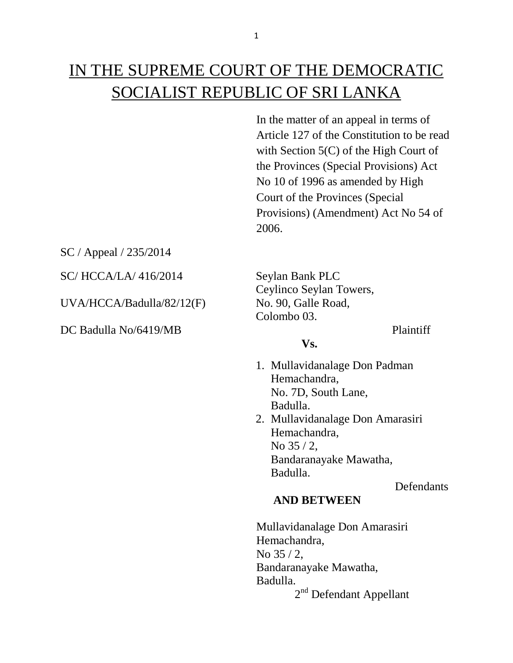# IN THE SUPREME COURT OF THE DEMOCRATIC SOCIALIST REPUBLIC OF SRI LANKA

In the matter of an appeal in terms of Article 127 of the Constitution to be read with Section 5(C) of the High Court of the Provinces (Special Provisions) Act No 10 of 1996 as amended by High Court of the Provinces (Special Provisions) (Amendment) Act No 54 of 2006.

SC / Appeal / 235/2014

SC/HCCA/LA/416/2014 Seylan Bank PLC

UVA/HCCA/Badulla/82/12(F) No. 90, Galle Road,

DC Badulla No/6419/MB Plaintiff

# Ceylinco Seylan Towers, Colombo 03.

**Vs.**

- 1. Mullavidanalage Don Padman Hemachandra, No. 7D, South Lane, Badulla.
- 2. Mullavidanalage Don Amarasiri Hemachandra, No 35 / 2, Bandaranayake Mawatha, Badulla.

**Defendants** 

### **AND BETWEEN**

Mullavidanalage Don Amarasiri Hemachandra, No 35 / 2, Bandaranayake Mawatha, Badulla. 2<sup>nd</sup> Defendant Appellant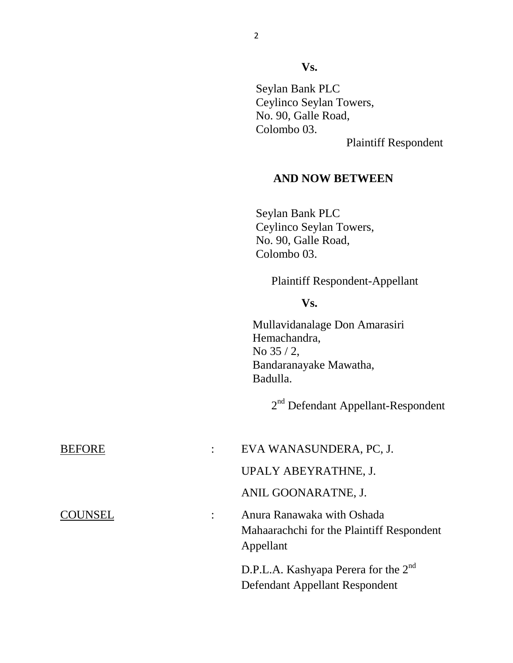**Vs.**

Seylan Bank PLC Ceylinco Seylan Towers, No. 90, Galle Road, Colombo 03.

Plaintiff Respondent

#### **AND NOW BETWEEN**

 Seylan Bank PLC Ceylinco Seylan Towers, No. 90, Galle Road, Colombo 03.

#### Plaintiff Respondent-Appellant

#### **Vs.**

Mullavidanalage Don Amarasiri Hemachandra, No 35 / 2, Bandaranayake Mawatha, Badulla.

2<sup>nd</sup> Defendant Appellant-Respondent

| <b>BEFORE</b>  | EVA WANASUNDERA, PC, J.                                                              |
|----------------|--------------------------------------------------------------------------------------|
|                | UPALY ABEYRATHNE, J.                                                                 |
|                | ANIL GOONARATNE, J.                                                                  |
| <b>COUNSEL</b> | Anura Ranawaka with Oshada<br>Mahaarachchi for the Plaintiff Respondent<br>Appellant |
|                | D.P.L.A. Kashyapa Perera for the 2 <sup>nd</sup><br>Defendant Appellant Respondent   |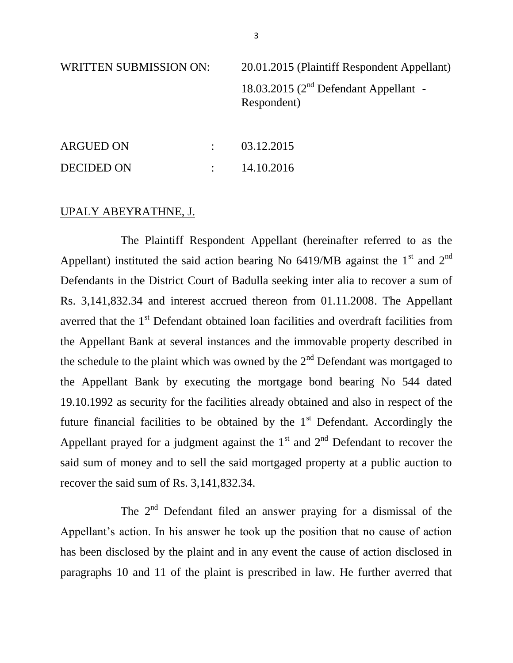WRITTEN SUBMISSION ON: 20.01.2015 (Plaintiff Respondent Appellant) 18.03.2015 ( $2<sup>nd</sup>$  Defendant Appellant -Respondent)

| <b>ARGUED ON</b>  | 03.12.2015 |
|-------------------|------------|
| <b>DECIDED ON</b> | 14.10.2016 |

#### UPALY ABEYRATHNE, J.

The Plaintiff Respondent Appellant (hereinafter referred to as the Appellant) instituted the said action bearing No  $6419/MB$  against the 1<sup>st</sup> and 2<sup>nd</sup> Defendants in the District Court of Badulla seeking inter alia to recover a sum of Rs. 3,141,832.34 and interest accrued thereon from 01.11.2008. The Appellant averred that the 1<sup>st</sup> Defendant obtained loan facilities and overdraft facilities from the Appellant Bank at several instances and the immovable property described in the schedule to the plaint which was owned by the  $2<sup>nd</sup>$  Defendant was mortgaged to the Appellant Bank by executing the mortgage bond bearing No 544 dated 19.10.1992 as security for the facilities already obtained and also in respect of the future financial facilities to be obtained by the  $1<sup>st</sup>$  Defendant. Accordingly the Appellant prayed for a judgment against the  $1<sup>st</sup>$  and  $2<sup>nd</sup>$  Defendant to recover the said sum of money and to sell the said mortgaged property at a public auction to recover the said sum of Rs. 3,141,832.34.

The  $2<sup>nd</sup>$  Defendant filed an answer praying for a dismissal of the Appellant's action. In his answer he took up the position that no cause of action has been disclosed by the plaint and in any event the cause of action disclosed in paragraphs 10 and 11 of the plaint is prescribed in law. He further averred that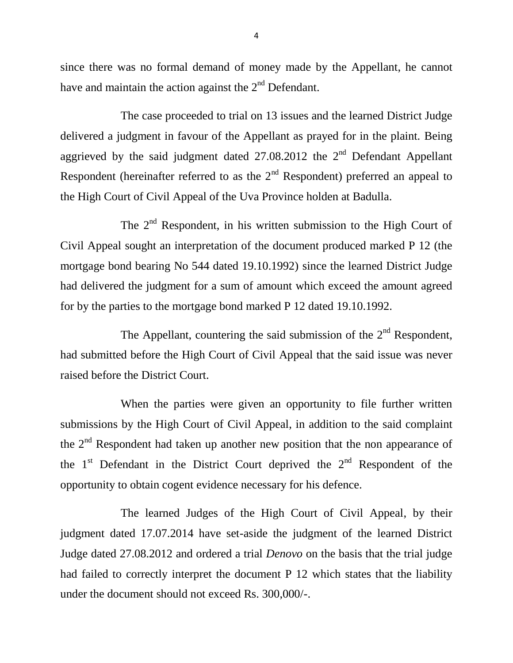since there was no formal demand of money made by the Appellant, he cannot have and maintain the action against the  $2<sup>nd</sup>$  Defendant.

The case proceeded to trial on 13 issues and the learned District Judge delivered a judgment in favour of the Appellant as prayed for in the plaint. Being aggrieved by the said judgment dated  $27.08.2012$  the  $2<sup>nd</sup>$  Defendant Appellant Respondent (hereinafter referred to as the  $2<sup>nd</sup>$  Respondent) preferred an appeal to the High Court of Civil Appeal of the Uva Province holden at Badulla.

The  $2<sup>nd</sup>$  Respondent, in his written submission to the High Court of Civil Appeal sought an interpretation of the document produced marked P 12 (the mortgage bond bearing No 544 dated 19.10.1992) since the learned District Judge had delivered the judgment for a sum of amount which exceed the amount agreed for by the parties to the mortgage bond marked P 12 dated 19.10.1992.

The Appellant, countering the said submission of the  $2<sup>nd</sup>$  Respondent, had submitted before the High Court of Civil Appeal that the said issue was never raised before the District Court.

When the parties were given an opportunity to file further written submissions by the High Court of Civil Appeal, in addition to the said complaint the 2<sup>nd</sup> Respondent had taken up another new position that the non appearance of the  $1<sup>st</sup>$  Defendant in the District Court deprived the  $2<sup>nd</sup>$  Respondent of the opportunity to obtain cogent evidence necessary for his defence.

The learned Judges of the High Court of Civil Appeal, by their judgment dated 17.07.2014 have set-aside the judgment of the learned District Judge dated 27.08.2012 and ordered a trial *Denovo* on the basis that the trial judge had failed to correctly interpret the document P 12 which states that the liability under the document should not exceed Rs. 300,000/-.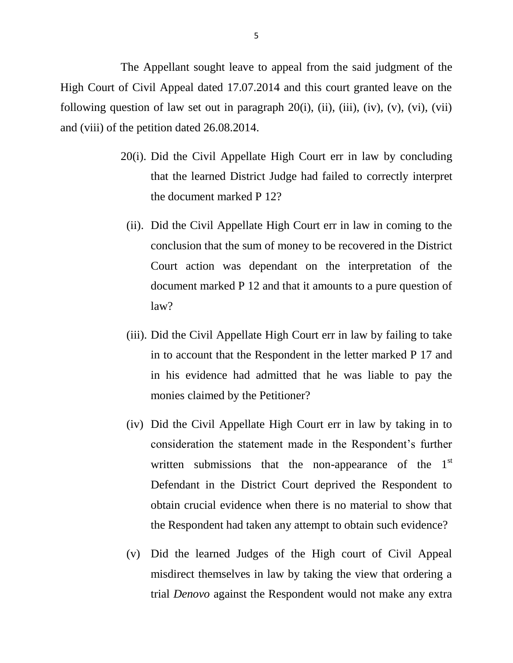The Appellant sought leave to appeal from the said judgment of the High Court of Civil Appeal dated 17.07.2014 and this court granted leave on the following question of law set out in paragraph  $20(i)$ , (ii), (iii), (iv), (v), (vi), (vii) and (viii) of the petition dated 26.08.2014.

- 20(i). Did the Civil Appellate High Court err in law by concluding that the learned District Judge had failed to correctly interpret the document marked P 12?
	- (ii). Did the Civil Appellate High Court err in law in coming to the conclusion that the sum of money to be recovered in the District Court action was dependant on the interpretation of the document marked P 12 and that it amounts to a pure question of law?
	- (iii). Did the Civil Appellate High Court err in law by failing to take in to account that the Respondent in the letter marked P 17 and in his evidence had admitted that he was liable to pay the monies claimed by the Petitioner?
	- (iv) Did the Civil Appellate High Court err in law by taking in to consideration the statement made in the Respondent's further written submissions that the non-appearance of the  $1<sup>st</sup>$ Defendant in the District Court deprived the Respondent to obtain crucial evidence when there is no material to show that the Respondent had taken any attempt to obtain such evidence?
	- (v) Did the learned Judges of the High court of Civil Appeal misdirect themselves in law by taking the view that ordering a trial *Denovo* against the Respondent would not make any extra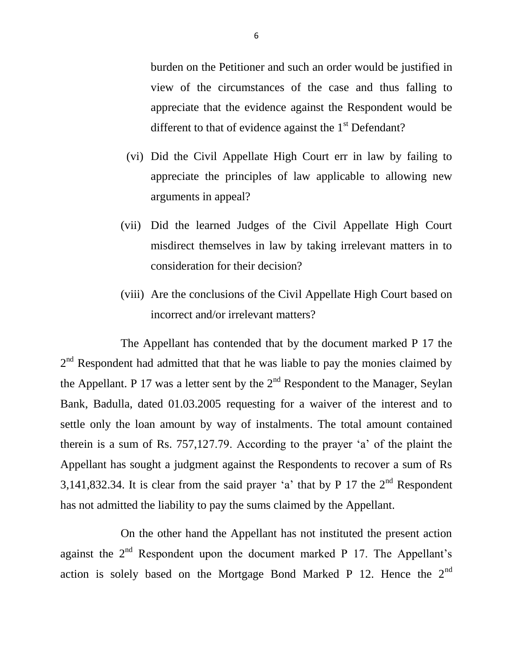burden on the Petitioner and such an order would be justified in view of the circumstances of the case and thus falling to appreciate that the evidence against the Respondent would be different to that of evidence against the  $1<sup>st</sup>$  Defendant?

- (vi) Did the Civil Appellate High Court err in law by failing to appreciate the principles of law applicable to allowing new arguments in appeal?
- (vii) Did the learned Judges of the Civil Appellate High Court misdirect themselves in law by taking irrelevant matters in to consideration for their decision?
- (viii) Are the conclusions of the Civil Appellate High Court based on incorrect and/or irrelevant matters?

The Appellant has contended that by the document marked P 17 the  $2<sup>nd</sup>$  Respondent had admitted that that he was liable to pay the monies claimed by the Appellant. P 17 was a letter sent by the  $2<sup>nd</sup>$  Respondent to the Manager, Seylan Bank, Badulla, dated 01.03.2005 requesting for a waiver of the interest and to settle only the loan amount by way of instalments. The total amount contained therein is a sum of Rs. 757,127.79. According to the prayer 'a' of the plaint the Appellant has sought a judgment against the Respondents to recover a sum of Rs 3,141,832.34. It is clear from the said prayer 'a' that by P 17 the  $2<sup>nd</sup>$  Respondent has not admitted the liability to pay the sums claimed by the Appellant.

On the other hand the Appellant has not instituted the present action against the  $2<sup>nd</sup>$  Respondent upon the document marked P 17. The Appellant's action is solely based on the Mortgage Bond Marked P 12. Hence the  $2<sup>nd</sup>$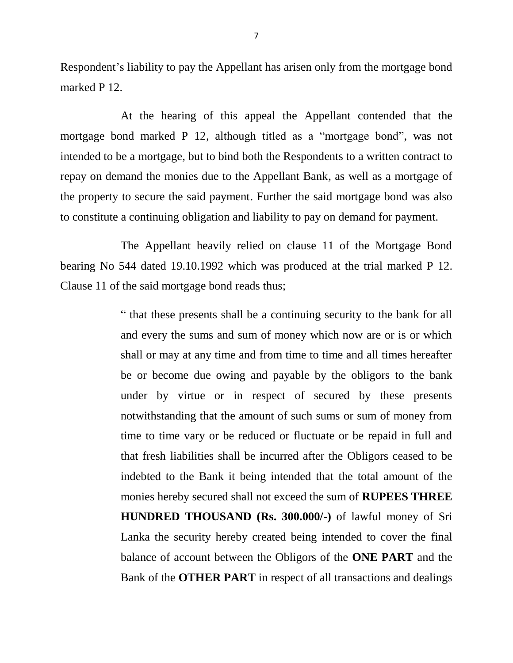Respondent's liability to pay the Appellant has arisen only from the mortgage bond marked P 12.

At the hearing of this appeal the Appellant contended that the mortgage bond marked P 12, although titled as a "mortgage bond", was not intended to be a mortgage, but to bind both the Respondents to a written contract to repay on demand the monies due to the Appellant Bank, as well as a mortgage of the property to secure the said payment. Further the said mortgage bond was also to constitute a continuing obligation and liability to pay on demand for payment.

The Appellant heavily relied on clause 11 of the Mortgage Bond bearing No 544 dated 19.10.1992 which was produced at the trial marked P 12. Clause 11 of the said mortgage bond reads thus;

> " that these presents shall be a continuing security to the bank for all and every the sums and sum of money which now are or is or which shall or may at any time and from time to time and all times hereafter be or become due owing and payable by the obligors to the bank under by virtue or in respect of secured by these presents notwithstanding that the amount of such sums or sum of money from time to time vary or be reduced or fluctuate or be repaid in full and that fresh liabilities shall be incurred after the Obligors ceased to be indebted to the Bank it being intended that the total amount of the monies hereby secured shall not exceed the sum of **RUPEES THREE HUNDRED THOUSAND (Rs. 300.000/-)** of lawful money of Sri Lanka the security hereby created being intended to cover the final balance of account between the Obligors of the **ONE PART** and the Bank of the **OTHER PART** in respect of all transactions and dealings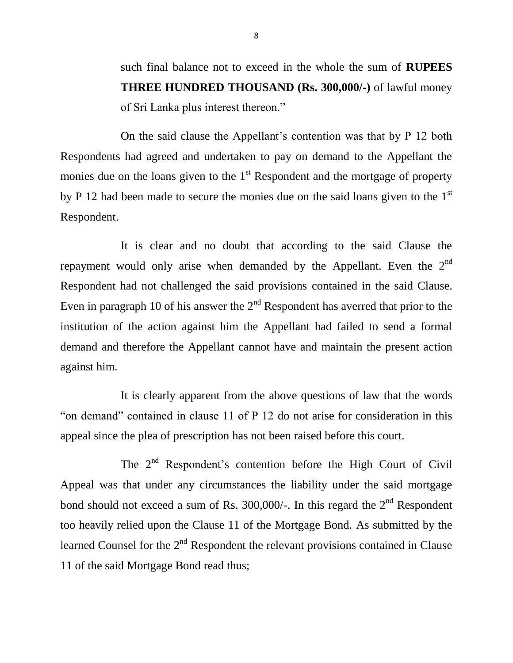such final balance not to exceed in the whole the sum of **RUPEES THREE HUNDRED THOUSAND (Rs. 300,000/-)** of lawful money of Sri Lanka plus interest thereon."

On the said clause the Appellant's contention was that by P 12 both Respondents had agreed and undertaken to pay on demand to the Appellant the monies due on the loans given to the  $1<sup>st</sup>$  Respondent and the mortgage of property by P 12 had been made to secure the monies due on the said loans given to the 1<sup>st</sup> Respondent.

It is clear and no doubt that according to the said Clause the repayment would only arise when demanded by the Appellant. Even the  $2<sup>nd</sup>$ Respondent had not challenged the said provisions contained in the said Clause. Even in paragraph 10 of his answer the  $2<sup>nd</sup>$  Respondent has averred that prior to the institution of the action against him the Appellant had failed to send a formal demand and therefore the Appellant cannot have and maintain the present action against him.

It is clearly apparent from the above questions of law that the words "on demand" contained in clause 11 of P 12 do not arise for consideration in this appeal since the plea of prescription has not been raised before this court.

The  $2<sup>nd</sup>$  Respondent's contention before the High Court of Civil Appeal was that under any circumstances the liability under the said mortgage bond should not exceed a sum of Rs. 300,000/-. In this regard the  $2<sup>nd</sup>$  Respondent too heavily relied upon the Clause 11 of the Mortgage Bond. As submitted by the learned Counsel for the 2<sup>nd</sup> Respondent the relevant provisions contained in Clause 11 of the said Mortgage Bond read thus;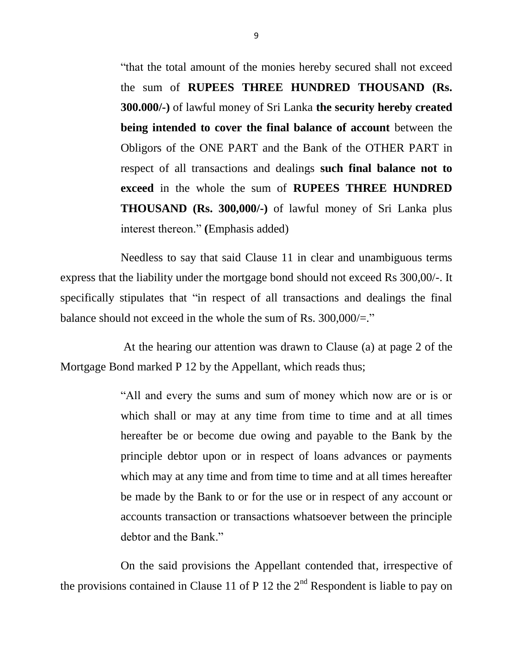"that the total amount of the monies hereby secured shall not exceed the sum of **RUPEES THREE HUNDRED THOUSAND (Rs. 300.000/-)** of lawful money of Sri Lanka **the security hereby created being intended to cover the final balance of account** between the Obligors of the ONE PART and the Bank of the OTHER PART in respect of all transactions and dealings **such final balance not to exceed** in the whole the sum of **RUPEES THREE HUNDRED THOUSAND (Rs. 300,000/-)** of lawful money of Sri Lanka plus interest thereon." **(**Emphasis added)

Needless to say that said Clause 11 in clear and unambiguous terms express that the liability under the mortgage bond should not exceed Rs 300,00/-. It specifically stipulates that "in respect of all transactions and dealings the final balance should not exceed in the whole the sum of Rs.  $300,000/2$ ."

At the hearing our attention was drawn to Clause (a) at page 2 of the Mortgage Bond marked P 12 by the Appellant, which reads thus;

> "All and every the sums and sum of money which now are or is or which shall or may at any time from time to time and at all times hereafter be or become due owing and payable to the Bank by the principle debtor upon or in respect of loans advances or payments which may at any time and from time to time and at all times hereafter be made by the Bank to or for the use or in respect of any account or accounts transaction or transactions whatsoever between the principle debtor and the Bank."

On the said provisions the Appellant contended that, irrespective of the provisions contained in Clause 11 of P 12 the  $2<sup>nd</sup>$  Respondent is liable to pay on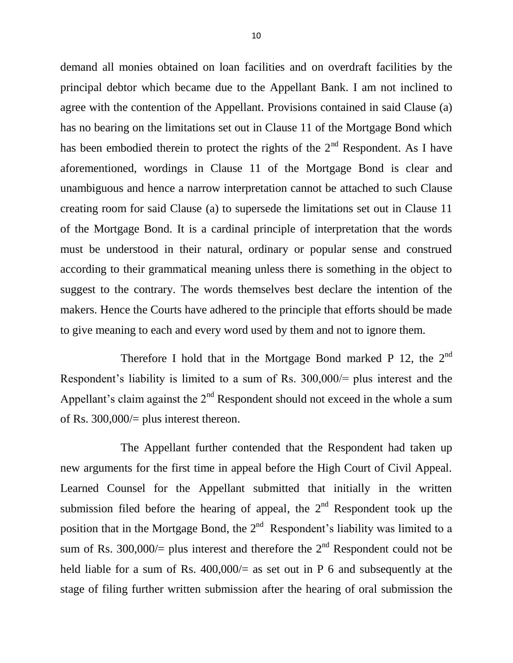demand all monies obtained on loan facilities and on overdraft facilities by the principal debtor which became due to the Appellant Bank. I am not inclined to agree with the contention of the Appellant. Provisions contained in said Clause (a) has no bearing on the limitations set out in Clause 11 of the Mortgage Bond which has been embodied therein to protect the rights of the  $2<sup>nd</sup>$  Respondent. As I have aforementioned, wordings in Clause 11 of the Mortgage Bond is clear and unambiguous and hence a narrow interpretation cannot be attached to such Clause creating room for said Clause (a) to supersede the limitations set out in Clause 11 of the Mortgage Bond. It is a cardinal principle of interpretation that the words must be understood in their natural, ordinary or popular sense and construed according to their grammatical meaning unless there is something in the object to suggest to the contrary. The words themselves best declare the intention of the makers. Hence the Courts have adhered to the principle that efforts should be made to give meaning to each and every word used by them and not to ignore them.

Therefore I hold that in the Mortgage Bond marked P 12, the  $2<sup>nd</sup>$ Respondent's liability is limited to a sum of Rs. 300,000/= plus interest and the Appellant's claim against the  $2<sup>nd</sup>$  Respondent should not exceed in the whole a sum of Rs.  $300,000/=$  plus interest thereon.

The Appellant further contended that the Respondent had taken up new arguments for the first time in appeal before the High Court of Civil Appeal. Learned Counsel for the Appellant submitted that initially in the written submission filed before the hearing of appeal, the  $2<sup>nd</sup>$  Respondent took up the position that in the Mortgage Bond, the  $2<sup>nd</sup>$  Respondent's liability was limited to a sum of Rs. 300,000/= plus interest and therefore the  $2<sup>nd</sup>$  Respondent could not be held liable for a sum of Rs.  $400,000/=$  as set out in P 6 and subsequently at the stage of filing further written submission after the hearing of oral submission the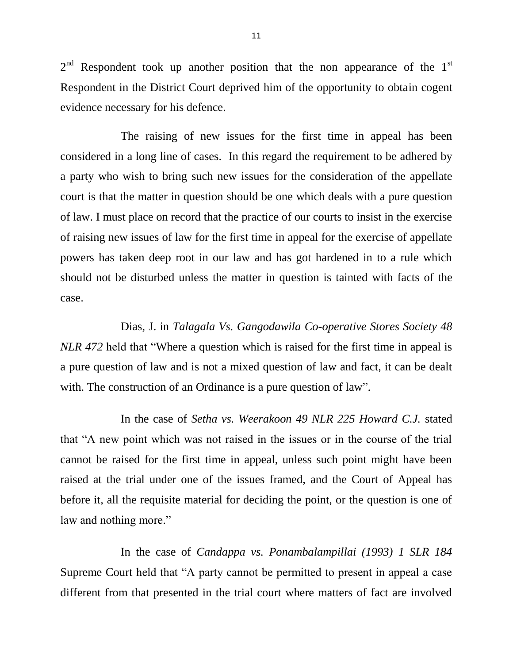$2<sup>nd</sup>$  Respondent took up another position that the non appearance of the  $1<sup>st</sup>$ Respondent in the District Court deprived him of the opportunity to obtain cogent evidence necessary for his defence.

The raising of new issues for the first time in appeal has been considered in a long line of cases. In this regard the requirement to be adhered by a party who wish to bring such new issues for the consideration of the appellate court is that the matter in question should be one which deals with a pure question of law. I must place on record that the practice of our courts to insist in the exercise of raising new issues of law for the first time in appeal for the exercise of appellate powers has taken deep root in our law and has got hardened in to a rule which should not be disturbed unless the matter in question is tainted with facts of the case.

Dias, J. in *Talagala Vs. Gangodawila Co-operative Stores Society 48 NLR 472* held that "Where a question which is raised for the first time in appeal is a pure question of law and is not a mixed question of law and fact, it can be dealt with. The construction of an Ordinance is a pure question of law".

In the case of *Setha vs. Weerakoon 49 NLR 225 Howard C.J.* stated that "A new point which was not raised in the issues or in the course of the trial cannot be raised for the first time in appeal, unless such point might have been raised at the trial under one of the issues framed, and the Court of Appeal has before it, all the requisite material for deciding the point, or the question is one of law and nothing more."

In the case of *Candappa vs. Ponambalampillai (1993) 1 SLR 184* Supreme Court held that "A party cannot be permitted to present in appeal a case different from that presented in the trial court where matters of fact are involved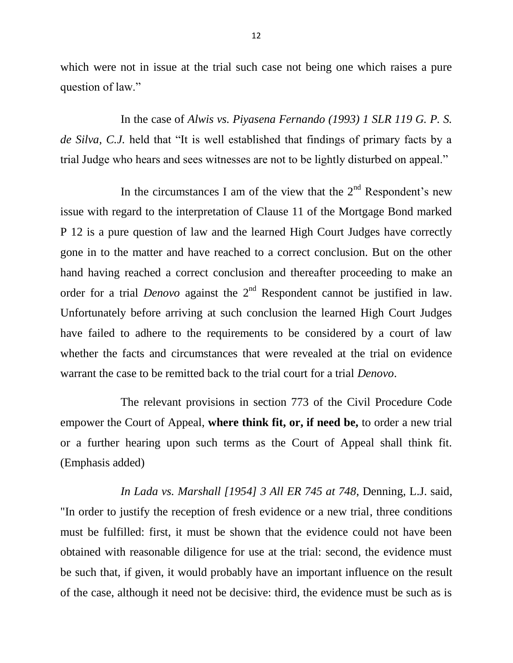which were not in issue at the trial such case not being one which raises a pure question of law."

In the case of *Alwis vs. Piyasena Fernando (1993) 1 SLR 119 G. P. S. de Silva, C.J.* held that "It is well established that findings of primary facts by a trial Judge who hears and sees witnesses are not to be lightly disturbed on appeal."

In the circumstances I am of the view that the  $2<sup>nd</sup>$  Respondent's new issue with regard to the interpretation of Clause 11 of the Mortgage Bond marked P 12 is a pure question of law and the learned High Court Judges have correctly gone in to the matter and have reached to a correct conclusion. But on the other hand having reached a correct conclusion and thereafter proceeding to make an order for a trial *Denovo* against the 2<sup>nd</sup> Respondent cannot be justified in law. Unfortunately before arriving at such conclusion the learned High Court Judges have failed to adhere to the requirements to be considered by a court of law whether the facts and circumstances that were revealed at the trial on evidence warrant the case to be remitted back to the trial court for a trial *Denovo*.

The relevant provisions in section 773 of the Civil Procedure Code empower the Court of Appeal, **where think fit, or, if need be,** to order a new trial or a further hearing upon such terms as the Court of Appeal shall think fit. (Emphasis added)

*In Lada vs. Marshall [1954] 3 All ER 745 at 748*, Denning, L.J. said, "In order to justify the reception of fresh evidence or a new trial, three conditions must be fulfilled: first, it must be shown that the evidence could not have been obtained with reasonable diligence for use at the trial: second, the evidence must be such that, if given, it would probably have an important influence on the result of the case, although it need not be decisive: third, the evidence must be such as is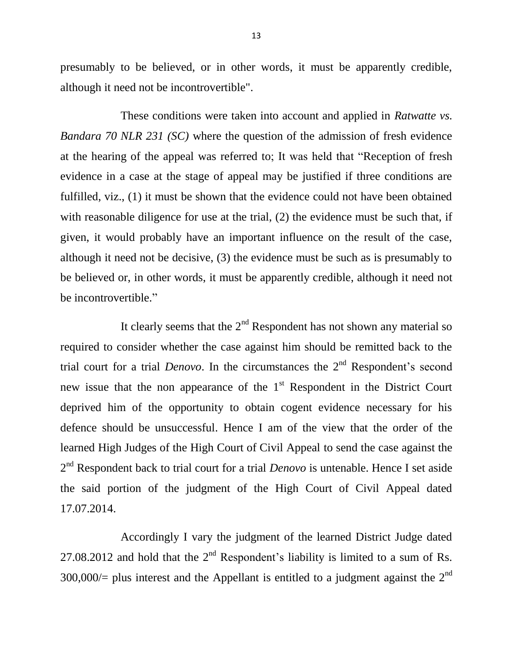presumably to be believed, or in other words, it must be apparently credible, although it need not be incontrovertible".

These conditions were taken into account and applied in *Ratwatte vs. Bandara 70 NLR 231 (SC)* where the question of the admission of fresh evidence at the hearing of the appeal was referred to; It was held that "Reception of fresh evidence in a case at the stage of appeal may be justified if three conditions are fulfilled, viz., (1) it must be shown that the evidence could not have been obtained with reasonable diligence for use at the trial, (2) the evidence must be such that, if given, it would probably have an important influence on the result of the case, although it need not be decisive, (3) the evidence must be such as is presumably to be believed or, in other words, it must be apparently credible, although it need not be incontrovertible."

It clearly seems that the  $2<sup>nd</sup>$  Respondent has not shown any material so required to consider whether the case against him should be remitted back to the trial court for a trial *Denovo*. In the circumstances the 2<sup>nd</sup> Respondent's second new issue that the non appearance of the  $1<sup>st</sup>$  Respondent in the District Court deprived him of the opportunity to obtain cogent evidence necessary for his defence should be unsuccessful. Hence I am of the view that the order of the learned High Judges of the High Court of Civil Appeal to send the case against the 2<sup>nd</sup> Respondent back to trial court for a trial *Denovo* is untenable. Hence I set aside the said portion of the judgment of the High Court of Civil Appeal dated 17.07.2014.

Accordingly I vary the judgment of the learned District Judge dated 27.08.2012 and hold that the  $2<sup>nd</sup>$  Respondent's liability is limited to a sum of Rs. 300,000 $/$ = plus interest and the Appellant is entitled to a judgment against the  $2<sup>nd</sup>$